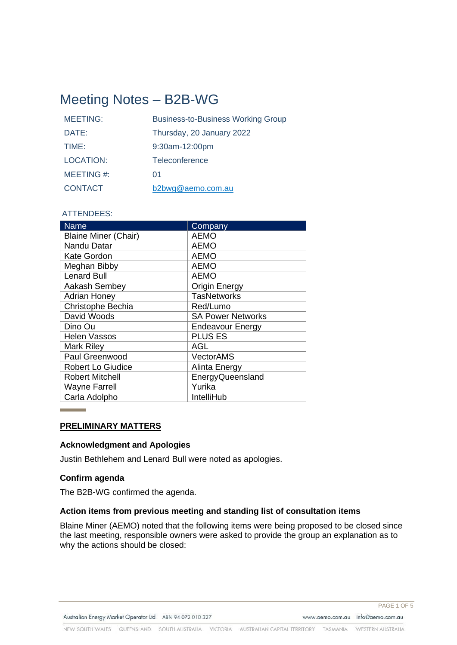# Meeting Notes – B2B-WG

| <b>MEETING:</b>  | <b>Business-to-Business Working Group</b> |
|------------------|-------------------------------------------|
| DATE:            | Thursday, 20 January 2022                 |
| TIME:            | $9:30$ am-12:00pm                         |
| <b>LOCATION:</b> | Teleconference                            |
| MEETING#:        | 01                                        |
| <b>CONTACT</b>   | b2bwg@aemo.com.au                         |

# ATTENDEES:

| <b>Name</b>                 | Company                  |
|-----------------------------|--------------------------|
| <b>Blaine Miner (Chair)</b> | <b>AEMO</b>              |
| Nandu Datar                 | <b>AEMO</b>              |
| Kate Gordon                 | <b>AEMO</b>              |
| Meghan Bibby                | <b>AEMO</b>              |
| <b>Lenard Bull</b>          | <b>AEMO</b>              |
| Aakash Sembey               | <b>Origin Energy</b>     |
| <b>Adrian Honey</b>         | <b>TasNetworks</b>       |
| Christophe Bechia           | Red/Lumo                 |
| David Woods                 | <b>SA Power Networks</b> |
| Dino Ou                     | <b>Endeavour Energy</b>  |
| <b>Helen Vassos</b>         | <b>PLUS ES</b>           |
| Mark Riley                  | AGL                      |
| Paul Greenwood              | <b>VectorAMS</b>         |
| <b>Robert Lo Giudice</b>    | Alinta Energy            |
| <b>Robert Mitchell</b>      | EnergyQueensland         |
| <b>Wayne Farrell</b>        | Yurika                   |
| Carla Adolpho               | IntelliHub               |

## **PRELIMINARY MATTERS**

## **Acknowledgment and Apologies**

Justin Bethlehem and Lenard Bull were noted as apologies.

### **Confirm agenda**

The B2B-WG confirmed the agenda.

## **Action items from previous meeting and standing list of consultation items**

Blaine Miner (AEMO) noted that the following items were being proposed to be closed since the last meeting, responsible owners were asked to provide the group an explanation as to why the actions should be closed: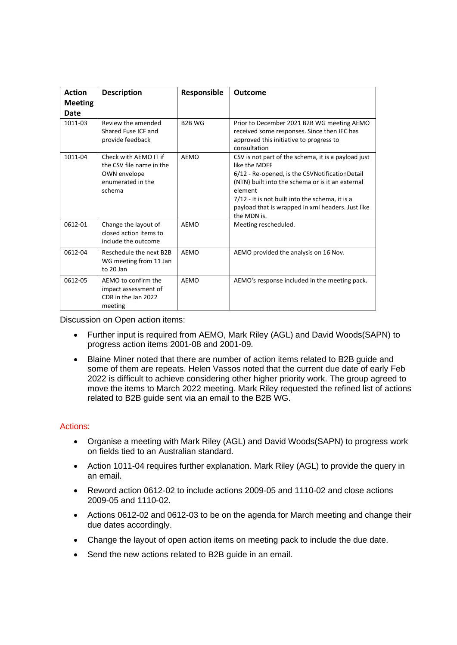| <b>Action</b><br><b>Meeting</b><br>Date | <b>Description</b>                                                                               | Responsible   | <b>Outcome</b>                                                                                                                                                                                                                                                                                               |
|-----------------------------------------|--------------------------------------------------------------------------------------------------|---------------|--------------------------------------------------------------------------------------------------------------------------------------------------------------------------------------------------------------------------------------------------------------------------------------------------------------|
| 1011-03                                 | Review the amended<br>Shared Fuse ICF and<br>provide feedback                                    | <b>B2B WG</b> | Prior to December 2021 B2B WG meeting AEMO<br>received some responses. Since then IEC has<br>approved this initiative to progress to<br>consultation                                                                                                                                                         |
| 1011-04                                 | Check with AEMO IT if<br>the CSV file name in the<br>OWN envelope<br>enumerated in the<br>schema | AEMO          | CSV is not part of the schema, it is a payload just<br>like the MDFF<br>6/12 - Re-opened, is the CSVNotificationDetail<br>(NTN) built into the schema or is it an external<br>element<br>7/12 - It is not built into the schema, it is a<br>payload that is wrapped in xml headers. Just like<br>the MDN is. |
| 0612-01                                 | Change the layout of<br>closed action items to<br>include the outcome                            | <b>AEMO</b>   | Meeting rescheduled.                                                                                                                                                                                                                                                                                         |
| 0612-04                                 | Reschedule the next B2B<br>WG meeting from 11 Jan<br>to 20 Jan                                   | <b>AEMO</b>   | AEMO provided the analysis on 16 Nov.                                                                                                                                                                                                                                                                        |
| 0612-05                                 | AEMO to confirm the<br>impact assessment of<br>CDR in the Jan 2022<br>meeting                    | AEMO          | AEMO's response included in the meeting pack.                                                                                                                                                                                                                                                                |

Discussion on Open action items:

- Further input is required from AEMO, Mark Riley (AGL) and David Woods(SAPN) to progress action items 2001-08 and 2001-09.
- Blaine Miner noted that there are number of action items related to B2B guide and some of them are repeats. Helen Vassos noted that the current due date of early Feb 2022 is difficult to achieve considering other higher priority work. The group agreed to move the items to March 2022 meeting. Mark Riley requested the refined list of actions related to B2B guide sent via an email to the B2B WG.

## Actions:

- Organise a meeting with Mark Riley (AGL) and David Woods(SAPN) to progress work on fields tied to an Australian standard.
- Action 1011-04 requires further explanation. Mark Riley (AGL) to provide the query in an email.
- Reword action 0612-02 to include actions 2009-05 and 1110-02 and close actions 2009-05 and 1110-02.
- Actions 0612-02 and 0612-03 to be on the agenda for March meeting and change their due dates accordingly.
- Change the layout of open action items on meeting pack to include the due date.
- Send the new actions related to B2B guide in an email.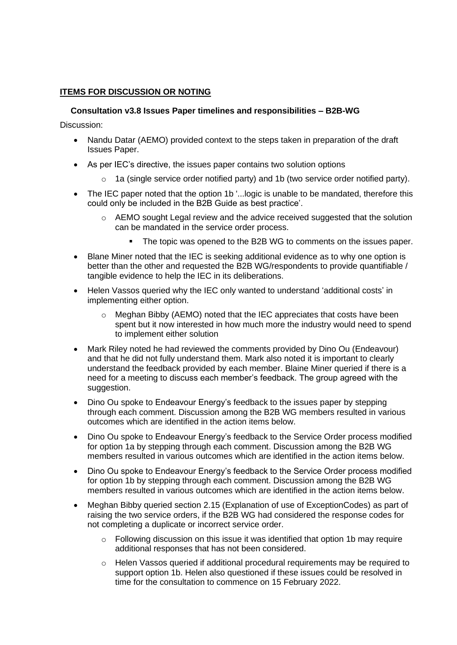# **ITEMS FOR DISCUSSION OR NOTING**

# **Consultation v3.8 Issues Paper timelines and responsibilities – B2B-WG**

Discussion:

- Nandu Datar (AEMO) provided context to the steps taken in preparation of the draft Issues Paper.
- As per IEC's directive, the issues paper contains two solution options
	- $\circ$  1a (single service order notified party) and 1b (two service order notified party).
- The IEC paper noted that the option 1b '... logic is unable to be mandated, therefore this could only be included in the B2B Guide as best practice'.
	- o AEMO sought Legal review and the advice received suggested that the solution can be mandated in the service order process.
		- The topic was opened to the B2B WG to comments on the issues paper.
- Blane Miner noted that the IEC is seeking additional evidence as to why one option is better than the other and requested the B2B WG/respondents to provide quantifiable / tangible evidence to help the IEC in its deliberations.
- Helen Vassos queried why the IEC only wanted to understand 'additional costs' in implementing either option.
	- o Meghan Bibby (AEMO) noted that the IEC appreciates that costs have been spent but it now interested in how much more the industry would need to spend to implement either solution
- Mark Riley noted he had reviewed the comments provided by Dino Ou (Endeavour) and that he did not fully understand them. Mark also noted it is important to clearly understand the feedback provided by each member. Blaine Miner queried if there is a need for a meeting to discuss each member's feedback. The group agreed with the suggestion.
- Dino Ou spoke to Endeavour Energy's feedback to the issues paper by stepping through each comment. Discussion among the B2B WG members resulted in various outcomes which are identified in the action items below.
- Dino Ou spoke to Endeavour Energy's feedback to the Service Order process modified for option 1a by stepping through each comment. Discussion among the B2B WG members resulted in various outcomes which are identified in the action items below.
- Dino Ou spoke to Endeavour Energy's feedback to the Service Order process modified for option 1b by stepping through each comment. Discussion among the B2B WG members resulted in various outcomes which are identified in the action items below.
- Meghan Bibby queried section 2.15 (Explanation of use of ExceptionCodes) as part of raising the two service orders, if the B2B WG had considered the response codes for not completing a duplicate or incorrect service order.
	- o Following discussion on this issue it was identified that option 1b may require additional responses that has not been considered.
	- $\circ$  Helen Vassos queried if additional procedural requirements may be required to support option 1b. Helen also questioned if these issues could be resolved in time for the consultation to commence on 15 February 2022.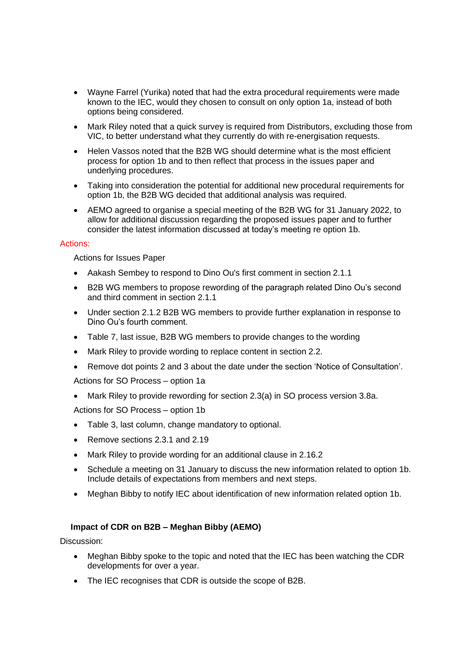- Wayne Farrel (Yurika) noted that had the extra procedural requirements were made known to the IEC, would they chosen to consult on only option 1a, instead of both options being considered.
- Mark Riley noted that a quick survey is required from Distributors, excluding those from VIC, to better understand what they currently do with re-energisation requests.
- Helen Vassos noted that the B2B WG should determine what is the most efficient process for option 1b and to then reflect that process in the issues paper and underlying procedures.
- Taking into consideration the potential for additional new procedural requirements for option 1b, the B2B WG decided that additional analysis was required.
- AEMO agreed to organise a special meeting of the B2B WG for 31 January 2022, to allow for additional discussion regarding the proposed issues paper and to further consider the latest information discussed at today's meeting re option 1b.

## Actions:

Actions for Issues Paper

- Aakash Sembey to respond to Dino Ou's first comment in section 2.1.1
- B2B WG members to propose rewording of the paragraph related Dino Ou's second and third comment in section 2.1.1
- Under section 2.1.2 B2B WG members to provide further explanation in response to Dino Ou's fourth comment.
- Table 7, last issue, B2B WG members to provide changes to the wording
- Mark Riley to provide wording to replace content in section 2.2.
- Remove dot points 2 and 3 about the date under the section 'Notice of Consultation'.

Actions for SO Process – option 1a

• Mark Riley to provide rewording for section 2.3(a) in SO process version 3.8a.

Actions for SO Process – option 1b

- Table 3, last column, change mandatory to optional.
- Remove sections 2.3.1 and 2.19
- Mark Riley to provide wording for an additional clause in 2.16.2
- Schedule a meeting on 31 January to discuss the new information related to option 1b. Include details of expectations from members and next steps.
- Meghan Bibby to notify IEC about identification of new information related option 1b.

## **Impact of CDR on B2B – Meghan Bibby (AEMO)**

Discussion:

- Meghan Bibby spoke to the topic and noted that the IEC has been watching the CDR developments for over a year.
- The IEC recognises that CDR is outside the scope of B2B.